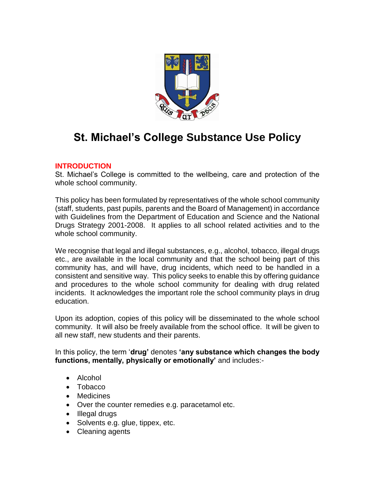

# **St. Michael's College Substance Use Policy**

## **INTRODUCTION**

St. Michael's College is committed to the wellbeing, care and protection of the whole school community.

This policy has been formulated by representatives of the whole school community (staff, students, past pupils, parents and the Board of Management) in accordance with Guidelines from the Department of Education and Science and the National Drugs Strategy 2001-2008. It applies to all school related activities and to the whole school community.

We recognise that legal and illegal substances, e.g., alcohol, tobacco, illegal drugs etc., are available in the local community and that the school being part of this community has, and will have, drug incidents, which need to be handled in a consistent and sensitive way. This policy seeks to enable this by offering guidance and procedures to the whole school community for dealing with drug related incidents. It acknowledges the important role the school community plays in drug education.

Upon its adoption, copies of this policy will be disseminated to the whole school community. It will also be freely available from the school office. It will be given to all new staff, new students and their parents.

In this policy, the term '**drug'** denotes **'any substance which changes the body functions, mentally, physically or emotionally'** and includes:-

- Alcohol
- Tobacco
- Medicines
- Over the counter remedies e.g. paracetamol etc.
- Illegal drugs
- Solvents e.g. glue, tippex, etc.
- Cleaning agents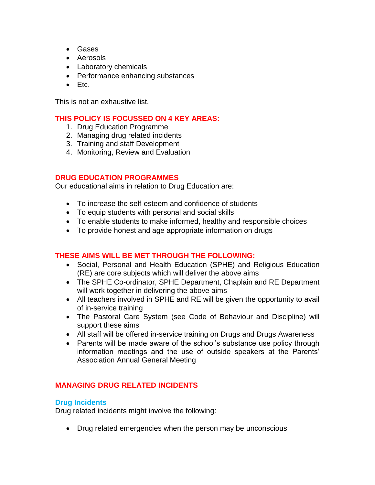- Gases
- Aerosols
- Laboratory chemicals
- Performance enhancing substances
- $\bullet$  Etc.

This is not an exhaustive list.

# **THIS POLICY IS FOCUSSED ON 4 KEY AREAS:**

- 1. Drug Education Programme
- 2. Managing drug related incidents
- 3. Training and staff Development
- 4. Monitoring, Review and Evaluation

## **DRUG EDUCATION PROGRAMMES**

Our educational aims in relation to Drug Education are:

- To increase the self-esteem and confidence of students
- To equip students with personal and social skills
- To enable students to make informed, healthy and responsible choices
- To provide honest and age appropriate information on drugs

# **THESE AIMS WILL BE MET THROUGH THE FOLLOWING:**

- Social, Personal and Health Education (SPHE) and Religious Education (RE) are core subjects which will deliver the above aims
- The SPHE Co-ordinator, SPHE Department, Chaplain and RE Department will work together in delivering the above aims
- All teachers involved in SPHE and RE will be given the opportunity to avail of in-service training
- The Pastoral Care System (see Code of Behaviour and Discipline) will support these aims
- All staff will be offered in-service training on Drugs and Drugs Awareness
- Parents will be made aware of the school's substance use policy through information meetings and the use of outside speakers at the Parents' Association Annual General Meeting

# **MANAGING DRUG RELATED INCIDENTS**

## **Drug Incidents**

Drug related incidents might involve the following:

Drug related emergencies when the person may be unconscious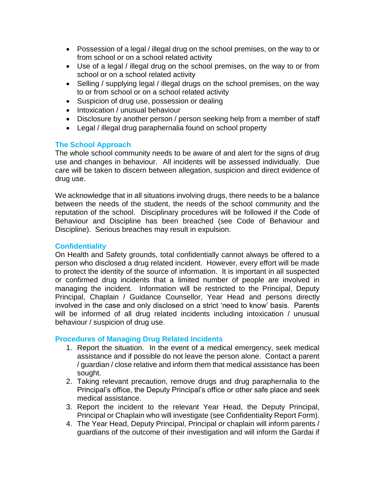- Possession of a legal / illegal drug on the school premises, on the way to or from school or on a school related activity
- Use of a legal / illegal drug on the school premises, on the way to or from school or on a school related activity
- Selling / supplying legal / illegal drugs on the school premises, on the way to or from school or on a school related activity
- Suspicion of drug use, possession or dealing
- Intoxication / unusual behaviour
- Disclosure by another person / person seeking help from a member of staff
- Legal / illegal drug paraphernalia found on school property

## **The School Approach**

The whole school community needs to be aware of and alert for the signs of drug use and changes in behaviour. All incidents will be assessed individually. Due care will be taken to discern between allegation, suspicion and direct evidence of drug use.

We acknowledge that in all situations involving drugs, there needs to be a balance between the needs of the student, the needs of the school community and the reputation of the school. Disciplinary procedures will be followed if the Code of Behaviour and Discipline has been breached (see Code of Behaviour and Discipline). Serious breaches may result in expulsion.

#### **Confidentiality**

On Health and Safety grounds, total confidentially cannot always be offered to a person who disclosed a drug related incident. However, every effort will be made to protect the identity of the source of information. It is important in all suspected or confirmed drug incidents that a limited number of people are involved in managing the incident. Information will be restricted to the Principal, Deputy Principal, Chaplain / Guidance Counsellor, Year Head and persons directly involved in the case and only disclosed on a strict 'need to know' basis. Parents will be informed of all drug related incidents including intoxication / unusual behaviour / suspicion of drug use.

## **Procedures of Managing Drug Related Incidents**

- 1. Report the situation. In the event of a medical emergency, seek medical assistance and if possible do not leave the person alone. Contact a parent / guardian / close relative and inform them that medical assistance has been sought.
- 2. Taking relevant precaution, remove drugs and drug paraphernalia to the Principal's office, the Deputy Principal's office or other safe place and seek medical assistance.
- 3. Report the incident to the relevant Year Head, the Deputy Principal, Principal or Chaplain who will investigate (see Confidentiality Report Form).
- 4. The Year Head, Deputy Principal, Principal or chaplain will inform parents / guardians of the outcome of their investigation and will inform the Gardai if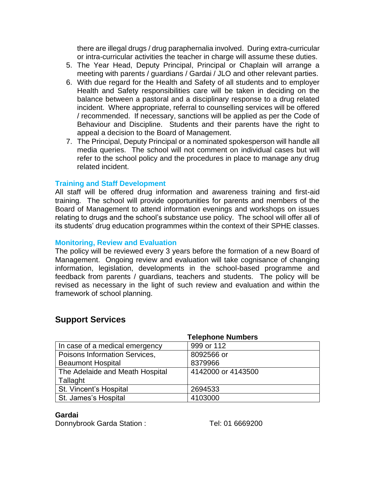there are illegal drugs / drug paraphernalia involved. During extra-curricular or intra-curricular activities the teacher in charge will assume these duties.

- 5. The Year Head, Deputy Principal, Principal or Chaplain will arrange a meeting with parents / guardians / Gardai / JLO and other relevant parties.
- 6. With due regard for the Health and Safety of all students and to employer Health and Safety responsibilities care will be taken in deciding on the balance between a pastoral and a disciplinary response to a drug related incident. Where appropriate, referral to counselling services will be offered / recommended. If necessary, sanctions will be applied as per the Code of Behaviour and Discipline. Students and their parents have the right to appeal a decision to the Board of Management.
- 7. The Principal, Deputy Principal or a nominated spokesperson will handle all media queries. The school will not comment on individual cases but will refer to the school policy and the procedures in place to manage any drug related incident.

#### **Training and Staff Development**

All staff will be offered drug information and awareness training and first-aid training. The school will provide opportunities for parents and members of the Board of Management to attend information evenings and workshops on issues relating to drugs and the school's substance use policy. The school will offer all of its students' drug education programmes within the context of their SPHE classes.

#### **Monitoring, Review and Evaluation**

The policy will be reviewed every 3 years before the formation of a new Board of Management. Ongoing review and evaluation will take cognisance of changing information, legislation, developments in the school-based programme and feedback from parents / guardians, teachers and students. The policy will be revised as necessary in the light of such review and evaluation and within the framework of school planning.

# **Support Services**

| <b>Telephone Numbers</b>        |                    |
|---------------------------------|--------------------|
| In case of a medical emergency  | 999 or 112         |
| Poisons Information Services,   | 8092566 or         |
| <b>Beaumont Hospital</b>        | 8379966            |
| The Adelaide and Meath Hospital | 4142000 or 4143500 |
| Tallaght                        |                    |
| St. Vincent's Hospital          | 2694533            |
| St. James's Hospital            | 4103000            |

#### **Gardai**

Donnybrook Garda Station : Tel: 01 6669200